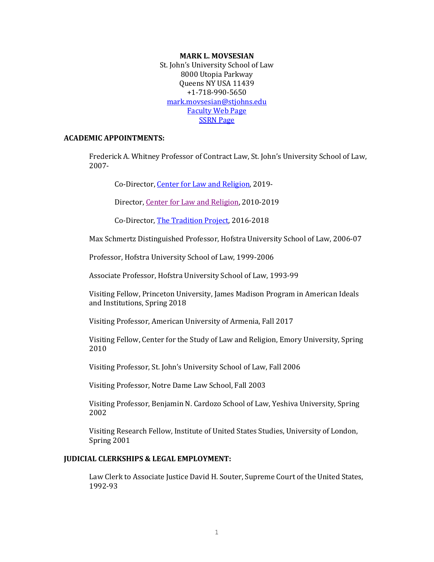#### **MARK L. MOVSESIAN**

St. John's University School of Law 8000 Utopia Parkway Queens NY USA 11439 +1-718-990-5650 [mark.movsesian@stjohns.edu](mailto:mark.movsesian@stjohns.edu) [Faculty Web Page](http://www.stjohns.edu/academics/graduate/law/faculty/profiles/Movsesian) [SSRN Page](https://papers.ssrn.com/sol3/cf_dev/AbsByAuth.cfm?per_id=143008)

## **ACADEMIC APPOINTMENTS:**

Frederick A. Whitney Professor of Contract Law, St. John's University School of Law, 2007-

Co-Director[, Center for Law and Religion,](https://www.stjohns.edu/law/about/places/center-law-and-religion) 2019-

Director, [Center for Law and Religion,](https://www.stjohns.edu/law/center-law-and-religion) 2010-2019

Co-Director[, The Tradition Project,](https://lawandreligionforum.org/tradition-project/) 2016-2018

Max Schmertz Distinguished Professor, Hofstra University School of Law, 2006-07

Professor, Hofstra University School of Law, 1999-2006

Associate Professor, Hofstra University School of Law, 1993-99

Visiting Fellow, Princeton University, James Madison Program in American Ideals and Institutions, Spring 2018

Visiting Professor, American University of Armenia, Fall 2017

Visiting Fellow, Center for the Study of Law and Religion, Emory University, Spring 2010

Visiting Professor, St. John's University School of Law, Fall 2006

Visiting Professor, Notre Dame Law School, Fall 2003

Visiting Professor, Benjamin N. Cardozo School of Law, Yeshiva University, Spring 2002

Visiting Research Fellow, Institute of United States Studies, University of London, Spring 2001

#### **JUDICIAL CLERKSHIPS & LEGAL EMPLOYMENT:**

Law Clerk to Associate Justice David H. Souter, Supreme Court of the United States, 1992-93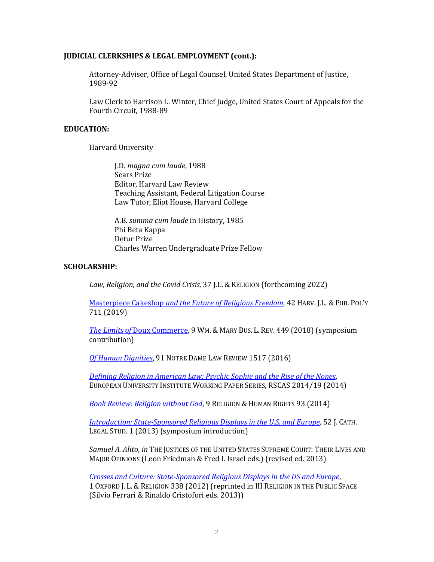## **JUDICIAL CLERKSHIPS & LEGAL EMPLOYMENT (cont.):**

Attorney-Adviser, Office of Legal Counsel, United States Department of Justice, 1989-92

Law Clerk to Harrison L. Winter, Chief Judge, United States Court of Appeals for the Fourth Circuit, 1988-89

# **EDUCATION:**

Harvard University

J.D. *magna cum laude*, 1988 Sears Prize Editor, Harvard Law Review Teaching Assistant, Federal Litigation Course Law Tutor, Eliot House, Harvard College

A.B. *summa cum laude* in History, 1985 Phi Beta Kappa Detur Prize Charles Warren Undergraduate Prize Fellow

# **SCHOLARSHIP:**

Law, Religion, and the Covid Crisis, 37 J.L. & RELIGION (forthcoming 2022)

Masterpiece Cakeshop *[and the Future of Religious Freedom](https://papers.ssrn.com/sol3/papers.cfm?abstract_id=3287325)*, 42 HARV. J.L. &PUB. POL'Y 711 (2019)

*The Limits of* [Doux Commerce,](https://papers.ssrn.com/sol3/papers.cfm?abstract_id=3099712) 9 WM. & MARY BUS. L. REV. 449 (2018) (symposium contribution)

*[Of Human Dignities](http://papers.ssrn.com/sol3/papers.cfm?abstract_id=2770738)*, 91 NOTRE DAME LAW REVIEW 1517 (2016)

*[Defining Religion in American Law: Psychic Sophie and the Rise of the Nones](http://www.eui.eu/Projects/ReligioWest/Documents/events/workingpaper/RSCAS2014MovsesianIII.pdf)*, EUROPEAN UNIVERSITY INSTITUTE WORKING PAPER SERIES, RSCAS 2014/19 (2014)

*[Book Review: Religion without God](http://booksandjournals.brillonline.com/content/journals/10.1163/18710328-12341264;jsessionid=ai3e1lpi5w6h.x-brill-live-02)*, 9 RELIGION & HUMAN RIGHTS 93 (2014)

*[Introduction: State-Sponsored Religious Displays in the U.S. and Europe](http://www.stjohns.edu/sites/default/files/documents/admission/131204_law_jcls_wf_introduction.pdf)*, 52 J. CATH. LEGAL STUD. 1 (2013) (symposium introduction)

*Samuel A. Alito*, *in* THE JUSTICES OF THE UNITED STATES SUPREME COURT: THEIR LIVES AND MAJOR OPINIONS (Leon Friedman & Fred I. Israel eds.) (revised ed. 2013)

*[Crosses and Culture: State-Sponsored Religious Displays in the US and Europe](http://ojlr.oxfordjournals.org/content/1/2/338)*, 1 OXFORD J. L. & RELIGION 338 (2012) (reprinted in III RELIGION IN THE PUBLIC SPACE (Silvio Ferrari & Rinaldo Cristofori eds. 2013))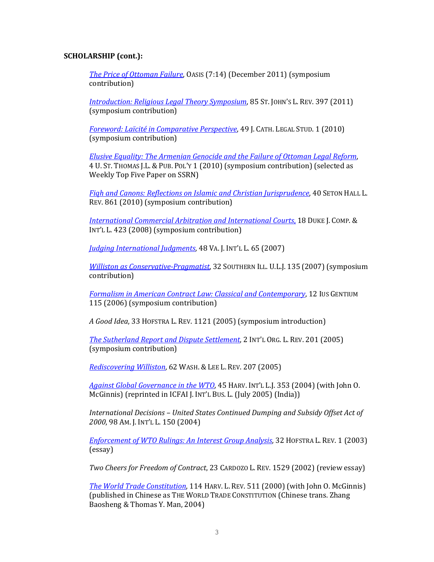# **SCHOLARSHIP (cont.):**

*[The Price of Ottoman Failure](http://papers.ssrn.com/sol3/papers.cfm?abstract_id=2047072)*, OASIS (7:14) (December 2011) (symposium contribution)

*[Introduction: Religious Legal Theory Symposium](http://www.stjohns.edu/academics/graduate/law/journals_activities/lawreview/issue/stj_law_review_vol_85_2.stj)*, 85 ST. JOHN'S L. REV. 397 (2011) (symposium contribution)

*[Foreword: Laïcité in Comparative Perspective](http://papers.ssrn.com/sol3/papers.cfm?abstract_id=1783824)*, 49 J. CATH. LEGAL STUD. 1 (2010) (symposium contribution)

*[Elusive Equality: The Armenian Genocide and the Failure of Ottoman Legal Reform](http://papers.ssrn.com/sol3/papers.cfm?abstract_id=1600745)*, 4 U. ST. THOMAS J.L. & PUB. POL'Y 1 (2010) (symposium contribution) (selected as Weekly Top Five Paper on SSRN)

*[Fiqh and Canons: Reflections on Islamic and Christian Jurisprudence](http://papers.ssrn.com/sol3/papers.cfm?abstract_id=1653995)*, 40 SETON HALL L. REV. 861 (2010) (symposium contribution)

*[International Commercial Arbitration and International Courts](http://papers.ssrn.com/sol3/papers.cfm?abstract_id=1267242)*, 18 DUKE J. COMP. & INT'L L. 423 (2008) (symposium contribution)

*[Judging International Judgments](http://papers.ssrn.com/sol3/papers.cfm?abstract_id=987332)*, 48 VA. J. INT'L L. 65 (2007)

*Williston [as Conservative-Pragmatist](http://papers.ssrn.com/sol3/papers.cfm?abstract_id=1026356)*, 32 SOUTHERN ILL. U.L.J. 135 (2007) (symposium contribution)

*[Formalism in American Contract Law: Classical and Contemporary](http://papers.ssrn.com/sol3/papers.cfm?abstract_id=894281)*, 12 IUS GENTIUM 115 (2006) (symposium contribution)

*A Good Idea*, 33 HOFSTRA L. REV. 1121 (2005) (symposium introduction)

*[The Sutherland Report and Dispute Settlement](http://papers.ssrn.com/sol3/papers.cfm?abstract_id=709243)*, 2 INT'L ORG. L. REV. 201 (2005) (symposium contribution)

*[Rediscovering Williston](http://papers.ssrn.com/sol3/papers.cfm?abstract_id=602004)*, 62 WASH. & LEE L. REV. 207 (2005)

*[Against Global Governance](http://papers.ssrn.com/sol3/papers.cfm?abstract_id=545602) in the WTO*, 45 HARV. INT'L L.J. 353 (2004) (with John O. McGinnis) (reprinted in ICFAI J. INT'L BUS. L. (July 2005) (India))

*International Decisions – United States Continued Dumping and Subsidy Offset Act of 2000*, 98 AM. J. INT'L L. 150 (2004)

*[Enforcement of WTO Rulings: An Interest Group Analysis](http://papers.ssrn.com/sol3/papers.cfm?abstract_id=444640)*, 32 HOFSTRA L. REV. 1 (2003) (essay)

*Two Cheers for Freedom of Contract*, 23 CARDOZO L. REV. 1529 (2002) (review essay)

*[The World Trade Constitution](http://papers.ssrn.com/sol3/papers.cfm?abstract_id=274520)*, 114 HARV. L. REV. 511 (2000) (with John O. McGinnis) (published in Chinese as THE WORLD TRADE CONSTITUTION (Chinese trans. Zhang Baosheng & Thomas Y. Man, 2004)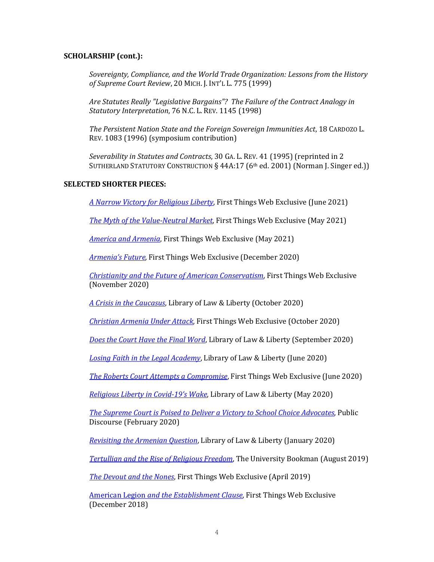# **SCHOLARSHIP (cont.):**

*Sovereignty, Compliance, and the World Trade Organization: Lessons from the History of Supreme Court Review*, 20 MICH. J. INT'L L. 775 (1999)

*Are Statutes Really "Legislative Bargains"? The Failure of the Contract Analogy in Statutory Interpretation*, 76 N.C. L. REV. 1145 (1998)

*The Persistent Nation State and the Foreign Sovereign Immunities Act*, 18 CARDOZO L. REV. 1083 (1996) (symposium contribution)

*Severability in Statutes and Contracts*, 30 GA. L. REV. 41 (1995) (reprinted in 2 SUTHERLAND STATUTORY CONSTRUCTION § 44A:17 (6th ed. 2001) (Norman J. Singer ed.))

# **SELECTED SHORTER PIECES:**

*[A Narrow Victory for Religious Liberty](https://www.firstthings.com/web-exclusives/2020/11/christianity-and-the-future-of-american-conservatism)*, First Things Web Exclusive (June 2021)

*The [Myth of the Value-Neutral Market](https://www.firstthings.com/web-exclusives/2021/05/the-myth-of-the-value-neutral-market)*, First Things Web Exclusive (May 2021)

*[America and Armenia](https://www.firstthings.com/web-exclusives/2021/05/america-and-armenia)*, First Things Web Exclusive (May 2021)

*Armenia['s Future](https://www.firstthings.com/web-exclusives/2020/12/armenias-future)*, First Things Web Exclusive (December 2020)

*[Christianity and the Future of American Conservatism](https://www.firstthings.com/web-exclusives/2020/11/christianity-and-the-future-of-american-conservatism)*, First Things Web Exclusive (November 2020)

*[A Crisis in the Caucasus](https://lawliberty.org/a-crisis-in-the-caucasus/)*, Library of Law & Liberty (October 2020)

*[Christian Armenia](https://www.firstthings.com/web-exclusives/2020/10/christian-armenia-under-attack) Under Attack*, First Things Web Exclusive (October 2020)

*[Does the Court Have the Final Word](https://lawliberty.org/book-review/the-authority-of-judicial-review/)*, Library of Law & Liberty (September 2020)

*[Losing Faith in the Legal Academy](https://lawliberty.org/losing-faith-in-the-legal-academy/)*, Library of Law & Liberty (June 2020)

*[The Roberts Court Attempts a Compromise](https://www.firstthings.com/web-exclusives/2020/07/the-roberts-court-attempts-a-compromise)*, First Things Web Exclusive (June 2020)

*[Religious Liberty in Covid-19](https://lawliberty.org/religious-liberty-in-covid-19s-wake/)'s Wake*, Library of Law & Liberty (May 2020)

*[The Supreme Court is Poised to Deliver a Victory to School Choice Advocates](https://www.thepublicdiscourse.com/2020/02/60132/)*, Public Discourse (February 2020)

*[Revisiting the Armenian Question](https://lawliberty.org/revisiting-the-armenian-question/)*, Library of Law & Liberty (January 2020)

*[Tertullian and the Rise of Religious Freedom](https://kirkcenter.org/reviews/tertullian-and-the-rise-of-religious-freedom/)*, The University Bookman (August 2019)

*[The Devout and the Nones](https://www.firstthings.com/web-exclusives/2019/04/the-devout-and-the-nones)*, First Things Web Exclusive (April 2019)

American Legion *[and the Establishment Clause](https://www.firstthings.com/web-exclusives/2018/12/american-legion-and-the-establishment-clause)*, First Things Web Exclusive (December 2018)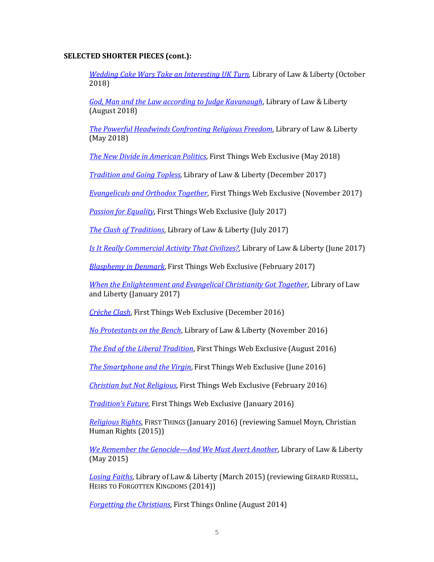# **SELECTED SHORTER PIECES (cont.):**

*[Wedding Cake Wars Take an Interesting UK Turn](https://lawliberty.org/wedding-cake-wars-take-an-interesting-british-turn/)*, Library of Law & Liberty (October 2018)

*[God, Man and the Law according to Judge Kavanaugh](https://www.lawliberty.org/2018/08/06/god-man-and-the-law-according-to-judge-kavanaugh/)*, Library of Law & Liberty (August 2018)

*[The Powerful Headwinds Confronting Religious Freedom](http://www.libertylawsite.org/2018/05/02/masterpiece-cakeshop-religious-freedom-nones/)*, Library of Law & Liberty (May 2018)

*[The New Divide in American Politics](https://www.firstthings.com/web-exclusives/2018/05/the-new-divide-in-american-politics)*, First Things Web Exclusive (May 2018)

*[Tradition and Going Topless](http://www.libertylawsite.org/2017/12/05/tradition-and-going-topless/)*, Library of Law & Liberty (December 2017)

*[Evangelicals and Orthodox Together](https://www.firstthings.com/web-exclusives/2017/11/evangelicals-and-orthodox-together)*, First Things Web Exclusive (November 2017)

*[Passion for Equality](https://www.firstthings.com/web-exclusives/2017/07/passion-for-equality)*, First Things Web Exclusive (July 2017)

*[The Clash of Traditions](http://www.libertylawsite.org/2017/07/07/the-clash-of-traditions/)*, Library of Law & Liberty (July 2017)

*[Is It Really Commercial Activity That Civilizes?](http://www.libertylawsite.org/book-review/is-it-really-commercial-activity-that-civilizes/)*, Library of Law & Liberty (June 2017)

*[Blasphemy in Denmark](https://www.firstthings.com/web-exclusives/2017/03/blasphemy-in-denmark)*, First Things Web Exclusive (February 2017)

*[When the Enlightenment and Evangelical Christianity Got Together](http://www.libertylawsite.org/2017/01/27/when-the-enlightenment-and-evangelical-christianity-got-together/)*, Library of Law and Liberty (January 2017)

*[Crèche Clash](https://www.firstthings.com/web-exclusives/2016/12/crche-clash)*, First Things Web Exclusive (December 2016)

*[No Protestants on the Bench](http://www.libertylawsite.org/2016/11/11/no-protestants-on-the-bench/)*, Library of Law & Liberty (November 2016)

*[The End of the Liberal Tradition](https://www.firstthings.com/web-exclusives/2016/08/the-end-of-the-liberal-tradition)*, First Things Web Exclusive (August 2016)

*[The Smartphone and the Virgin](http://www.firstthings.com/web-exclusives/2016/06/the-smartphone-and-the-virgin)*, First Things Web Exclusive (June 2016)

*[Christian but Not Religious](http://www.firstthings.com/web-exclusives/2016/02/christian-but-not-religious)*, First Things Web Exclusive (February 2016)

*[Tradition's Future](http://www.firstthings.com/web-exclusives/2016/02/christian-but-not-religious)*, First Things Web Exclusive (January 2016)

*[Religious Rights](http://www.firstthings.com/article/2016/01/religious-rights)*, FIRST THINGS (January 2016) (reviewing Samuel Moyn, Christian Human Rights (2015))

*[We Remember the Genocide](http://www.libertylawsite.org/2015/05/14/we-remember-the-genocide-and-we-must-avert-another/)—And We Must Avert Another*, Library of Law & Liberty (May 2015)

*[Losing Faiths](http://www.libertylawsite.org/book-review/losing-faiths/)*, Library of Law & Liberty (March 2015) (reviewing GERARD RUSSELL, HEIRS TO FORGOTTEN KINGDOMS (2014))

*[Forgetting the Christians](http://www.firstthings.com/web-exclusives/2014/08/forgetting-the-christians)*, First Things Online (August 2014)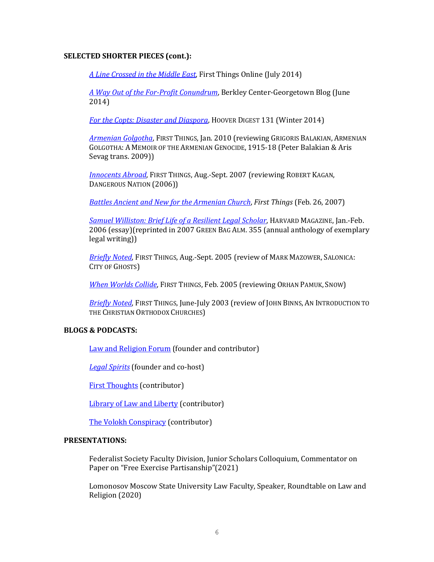# **SELECTED SHORTER PIECES (cont.):**

*[A Line Crossed in the Middle East](http://www.firstthings.com/web-exclusives/2014/07/a-line-crossed-in-the-middle-east)*, First Things Online (July 2014)

*[A Way Out of the For-Profit Conundrum](https://berkleycenter.georgetown.edu/responses/a-way-out-of-the-for-profit-conundrum)*, Berkley Center-Georgetown Blog (June 2014)

*[For the Copts: Disaster and Diaspora](http://www.hoover.org/publications/hoover-digest/article/165271)*, HOOVER DIGEST 131 (Winter 2014)

*[Armenian Golgotha](http://www.firstthings.com/article/2009/12/armenian-golgotha)*, FIRST THINGS, Jan. 2010 (reviewing GRIGORIS BALAKIAN, ARMENIAN GOLGOTHA: A MEMOIR OF THE ARMENIAN GENOCIDE, 1915-18 (Peter Balakian & Aris Sevag trans. 2009))

*[Innocents Abroad](http://www.firstthings.com/article/2007/07/004-innocents-abroad-1)*, FIRST THINGS, Aug.-Sept. 2007 (reviewing ROBERT KAGAN, DANGEROUS NATION (2006))

*[Battles Ancient and New for the Armenian Church](http://www.firstthings.com/onthesquare/2007/02/battles-ancient-and-new-for-th)*, *First Things* (Feb. 26, 2007)

*[Samuel Williston: Brief Life of a Resilient Legal Scholar](http://harvardmagazine.com/2006/01/samuel-williston.html)*, HARVARD MAGAZINE, Jan.-Feb. 2006 (essay)(reprinted in 2007 GREEN BAG ALM. 355 (annual anthology of exemplary legal writing))

*[Briefly Noted](http://www.firstthings.com/article/2007/01/briefly-noted--15)*, FIRST THINGS, Aug.-Sept. 2005 (review of MARK MAZOWER, SALONICA: CITY OF GHOSTS)

*[When Worlds Collide](http://www.firstthings.com/article/2007/01/when-worlds-collide--44)*, FIRST THINGS, Feb. 2005 (reviewing ORHAN PAMUK, SNOW)

*[Briefly Noted](http://www.firstthings.com/article/2007/01/briefly-noted-13)*, FIRST THINGS, June-July 2003 (review of JOHN BINNS, AN INTRODUCTION TO THE CHRISTIAN ORTHODOX CHURCHES)

## **BLOGS & PODCASTS:**

[Law and Religion](http://clrforum.org/category/mark-l-movsesian/) Forum (founder and contributor)

*[Legal Spirits](https://lawandreligionforum.org/category/podcasts/)* (founder and co-host)

[First Thoughts](http://www.firstthings.com/blogs/firstthoughts/author/mark-movsesian/) (contributor)

[Library of Law and Liberty](http://www.libertylawsite.org/author/mark-movsesian/) (contributor)

[The Volokh Conspiracy](https://reason.com/people/mark-movsesian/) (contributor)

#### **PRESENTATIONS:**

Federalist Society Faculty Division, Junior Scholars Colloquium, Commentator on Paper on "Free Exercise Partisanship"(2021)

Lomonosov Moscow State University Law Faculty, Speaker, Roundtable on Law and Religion (2020)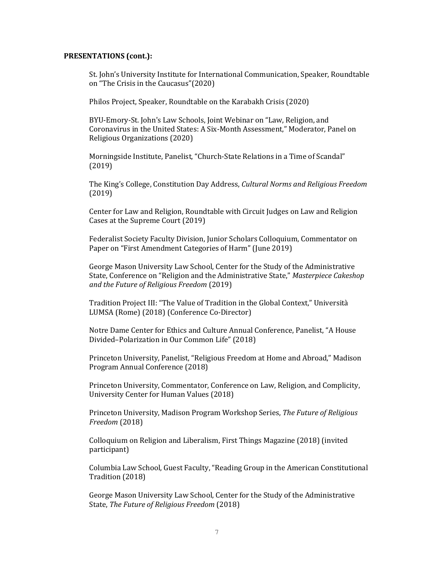St. John's University Institute for International Communication, Speaker, Roundtable on "The Crisis in the Caucasus"(2020)

Philos Project, Speaker, Roundtable on the Karabakh Crisis (2020)

BYU-Emory-St. John's Law Schools, Joint Webinar on "Law, Religion, and Coronavirus in the United States: A Six-Month Assessment," Moderator, Panel on Religious Organizations (2020)

Morningside Institute, Panelist, "Church-State Relations in a Time of Scandal" (2019)

The King's College, Constitution Day Address, *Cultural Norms and Religious Freedom* (2019)

Center for Law and Religion, Roundtable with Circuit Judges on Law and Religion Cases at the Supreme Court (2019)

Federalist Society Faculty Division, Junior Scholars Colloquium, Commentator on Paper on "First Amendment Categories of Harm" (June 2019)

George Mason University Law School, Center for the Study of the Administrative State, Conference on "Religion and the Administrative State," *Masterpiece Cakeshop and the Future of Religious Freedom* (2019)

Tradition Project III: "The Value of Tradition in the Global Context," Università LUMSA (Rome) (2018) (Conference Co-Director)

Notre Dame Center for Ethics and Culture Annual Conference, Panelist, "A House Divided–Polarization in Our Common Life" (2018)

Princeton University, Panelist, "Religious Freedom at Home and Abroad," Madison Program Annual Conference (2018)

Princeton University, Commentator, Conference on Law, Religion, and Complicity, University Center for Human Values (2018)

Princeton University, Madison Program Workshop Series, *The Future of Religious Freedom* (2018)

Colloquium on Religion and Liberalism, First Things Magazine (2018) (invited participant)

Columbia Law School, Guest Faculty, "Reading Group in the American Constitutional Tradition (2018)

George Mason University Law School, Center for the Study of the Administrative State, *The Future of Religious Freedom* (2018)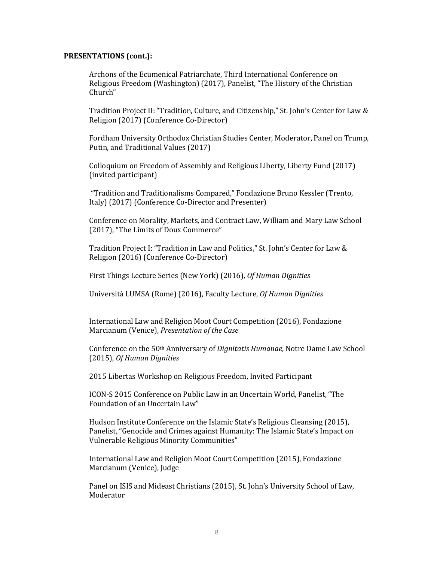Archons of the Ecumenical Patriarchate, Third International Conference on Religious Freedom (Washington) (2017), Panelist, "The History of the Christian Church"

Tradition Project II: "Tradition, Culture, and Citizenship," St. John's Center for Law & Religion (2017) (Conference Co-Director)

Fordham University Orthodox Christian Studies Center, Moderator, Panel on Trump, Putin, and Traditional Values (2017)

Colloquium on Freedom of Assembly and Religious Liberty, Liberty Fund (2017) (invited participant)

"Tradition and Traditionalisms Compared," Fondazione Bruno Kessler (Trento, Italy) (2017) (Conference Co-Director and Presenter)

Conference on Morality, Markets, and Contract Law, William and Mary Law School (2017), "The Limits of Doux Commerce"

Tradition Project I: "Tradition in Law and Politics," St. John's Center for Law & Religion (2016) (Conference Co-Director)

First Things Lecture Series (New York) (2016), *Of Human Dignities*

Università LUMSA (Rome) (2016), Faculty Lecture, *Of Human Dignities*

International Law and Religion Moot Court Competition (2016), Fondazione Marcianum (Venice), *Presentation of the Case*

Conference on the 50th Anniversary of *Dignitatis Humanae*, Notre Dame Law School (2015), *Of Human Dignities*

2015 Libertas Workshop on Religious Freedom, Invited Participant

ICON-S 2015 Conference on Public Law in an Uncertain World, Panelist, "The Foundation of an Uncertain Law"

Hudson Institute Conference on the Islamic State's Religious Cleansing (2015), Panelist, "Genocide and Crimes against Humanity: The Islamic State's Impact on Vulnerable Religious Minority Communities"

International Law and Religion Moot Court Competition (2015), Fondazione Marcianum (Venice), Judge

Panel on ISIS and Mideast Christians (2015), St. John's University School of Law, Moderator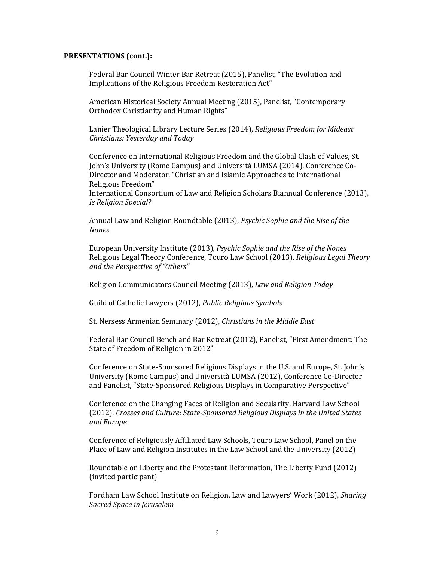Federal Bar Council Winter Bar Retreat (2015), Panelist, "The Evolution and Implications of the Religious Freedom Restoration Act"

American Historical Society Annual Meeting (2015), Panelist, "Contemporary Orthodox Christianity and Human Rights"

Lanier Theological Library Lecture Series (2014), *Religious Freedom for Mideast Christians: Yesterday and Today*

Conference on International Religious Freedom and the Global Clash of Values, St. John's University (Rome Campus) and Università LUMSA (2014), Conference Co-Director and Moderator, "Christian and Islamic Approaches to International Religious Freedom"

International Consortium of Law and Religion Scholars Biannual Conference (2013), *Is Religion Special?*

Annual Law and Religion Roundtable (2013), *Psychic Sophie and the Rise of the Nones*

European University Institute (2013), *Psychic Sophie and the Rise of the Nones* Religious Legal Theory Conference, Touro Law School (2013), *Religious Legal Theory and the Perspective of "Others"*

Religion Communicators Council Meeting (2013), *Law and Religion Today*

Guild of Catholic Lawyers (2012), *Public Religious Symbols*

St. Nersess Armenian Seminary (2012), *Christians in the Middle East*

Federal Bar Council Bench and Bar Retreat (2012), Panelist, "First Amendment: The State of Freedom of Religion in 2012"

Conference on State-Sponsored Religious Displays in the U.S. and Europe, St. John's University (Rome Campus) and Università LUMSA (2012), Conference Co-Director and Panelist, "State-Sponsored Religious Displays in Comparative Perspective"

Conference on the Changing Faces of Religion and Secularity, Harvard Law School (2012), *Crosses and Culture: State-Sponsored Religious Displays in the United States and Europe*

Conference of Religiously Affiliated Law Schools, Touro Law School, Panel on the Place of Law and Religion Institutes in the Law School and the University (2012)

Roundtable on Liberty and the Protestant Reformation, The Liberty Fund (2012) (invited participant)

Fordham Law School Institute on Religion, Law and Lawyers' Work (2012), *Sharing Sacred Space in Jerusalem*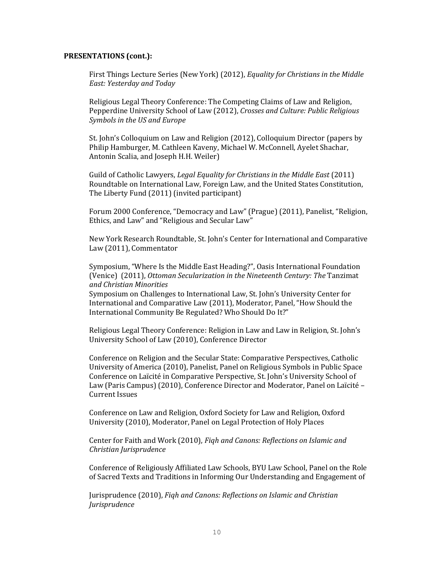First Things Lecture Series (New York) (2012), *Equality for Christians in the Middle East: Yesterday and Today*

Religious Legal Theory Conference: The Competing Claims of Law and Religion, Pepperdine University School of Law (2012), *Crosses and Culture: Public Religious Symbols in the US and Europe*

St. John's Colloquium on Law and Religion (2012), Colloquium Director (papers by Philip Hamburger, M. Cathleen Kaveny, Michael W. McConnell, Ayelet Shachar, Antonin Scalia, and Joseph H.H. Weiler)

Guild of Catholic Lawyers, *Legal Equality for Christians in the Middle East* (2011) Roundtable on International Law, Foreign Law, and the United States Constitution, The Liberty Fund (2011) (invited participant)

Forum 2000 Conference, "Democracy and Law" (Prague) (2011), Panelist, "Religion, Ethics, and Law" and "Religious and Secular Law"

New York Research Roundtable, St. John's Center for International and Comparative Law (2011), Commentator

Symposium, "Where Is the Middle East Heading?", Oasis International Foundation (Venice) (2011), *Ottoman Secularization in the Nineteenth Century: The* Tanzimat *and Christian Minorities*

Symposium on Challenges to International Law, St. John's University Center for International and Comparative Law (2011), Moderator, Panel, "How Should the International Community Be Regulated? Who Should Do It?"

Religious Legal Theory Conference: Religion in Law and Law in Religion, St. John's University School of Law (2010), Conference Director

Conference on Religion and the Secular State: Comparative Perspectives, Catholic University of America (2010), Panelist, Panel on Religious Symbols in Public Space Conference on Laïcité in Comparative Perspective, St. John's University School of Law (Paris Campus) (2010), Conference Director and Moderator, Panel on Laïcité – Current Issues

Conference on Law and Religion, Oxford Society for Law and Religion, Oxford University (2010), Moderator, Panel on Legal Protection of Holy Places

Center for Faith and Work (2010), *Fiqh and Canons: Reflections on Islamic and Christian Jurisprudence*

Conference of Religiously Affiliated Law Schools, BYU Law School, Panel on the Role of Sacred Texts and Traditions in Informing Our Understanding and Engagement of

Jurisprudence (2010), *Fiqh and Canons: Reflections on Islamic and Christian Jurisprudence*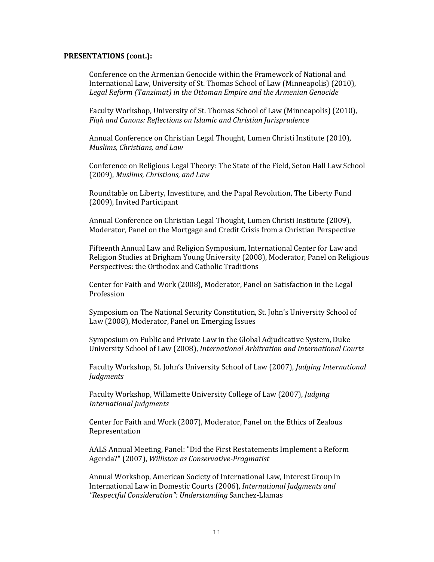Conference on the Armenian Genocide within the Framework of National and International Law, University of St. Thomas School of Law (Minneapolis) (2010), *Legal Reform (Tanzimat) in the Ottoman Empire and the Armenian Genocide*

Faculty Workshop, University of St. Thomas School of Law (Minneapolis) (2010), *Fiqh and Canons: Reflections on Islamic and Christian Jurisprudence*

Annual Conference on Christian Legal Thought, Lumen Christi Institute (2010), *Muslims, Christians, and Law*

Conference on Religious Legal Theory: The State of the Field, Seton Hall Law School (2009), *Muslims, Christians, and Law*

Roundtable on Liberty, Investiture, and the Papal Revolution, The Liberty Fund (2009), Invited Participant

Annual Conference on Christian Legal Thought, Lumen Christi Institute (2009), Moderator, Panel on the Mortgage and Credit Crisis from a Christian Perspective

Fifteenth Annual Law and Religion Symposium, International Center for Law and Religion Studies at Brigham Young University (2008), Moderator, Panel on Religious Perspectives: the Orthodox and Catholic Traditions

Center for Faith and Work (2008), Moderator, Panel on Satisfaction in the Legal Profession

Symposium on The National Security Constitution, St. John's University School of Law (2008), Moderator, Panel on Emerging Issues

Symposium on Public and Private Law in the Global Adjudicative System, Duke University School of Law (2008), *International Arbitration and International Courts*

Faculty Workshop, St. John's University School of Law (2007), *Judging International Judgments*

Faculty Workshop, Willamette University College of Law (2007), *Judging International Judgments*

Center for Faith and Work (2007), Moderator, Panel on the Ethics of Zealous Representation

AALS Annual Meeting, Panel: "Did the First Restatements Implement a Reform Agenda?" (2007), *Williston as Conservative-Pragmatist*

Annual Workshop, American Society of International Law, Interest Group in International Law in Domestic Courts (2006), *International Judgments and "Respectful Consideration": Understanding* Sanchez-Llamas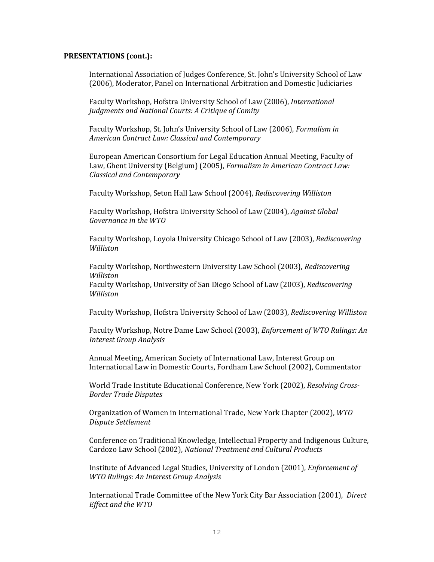International Association of Judges Conference, St. John's University School of Law (2006), Moderator, Panel on International Arbitration and Domestic Judiciaries

Faculty Workshop, Hofstra University School of Law (2006), *International Judgments and National Courts: A Critique of Comity*

Faculty Workshop, St. John's University School of Law (2006), *Formalism in American Contract Law: Classical and Contemporary*

European American Consortium for Legal Education Annual Meeting, Faculty of Law, Ghent University (Belgium) (2005), *Formalism in American Contract Law: Classical and Contemporary*

Faculty Workshop, Seton Hall Law School (2004), *Rediscovering Williston*

Faculty Workshop, Hofstra University School of Law (2004), *Against Global Governance in the WTO*

Faculty Workshop, Loyola University Chicago School of Law (2003), *Rediscovering Williston*

Faculty Workshop, Northwestern University Law School (2003), *Rediscovering Williston*

Faculty Workshop, University of San Diego School of Law (2003), *Rediscovering Williston*

Faculty Workshop, Hofstra University School of Law (2003), *Rediscovering Williston*

Faculty Workshop, Notre Dame Law School (2003), *Enforcement of WTO Rulings: An Interest Group Analysis*

Annual Meeting, American Society of International Law, Interest Group on International Law in Domestic Courts, Fordham Law School (2002), Commentator

World Trade Institute Educational Conference, New York (2002), *Resolving Cross-Border Trade Disputes*

Organization of Women in International Trade, New York Chapter (2002), *WTO Dispute Settlement*

Conference on Traditional Knowledge, Intellectual Property and Indigenous Culture, Cardozo Law School (2002), *National Treatment and Cultural Products*

Institute of Advanced Legal Studies, University of London (2001), *Enforcement of WTO Rulings: An Interest Group Analysis*

International Trade Committee of the New York City Bar Association (2001), *Direct Effect and the WTO*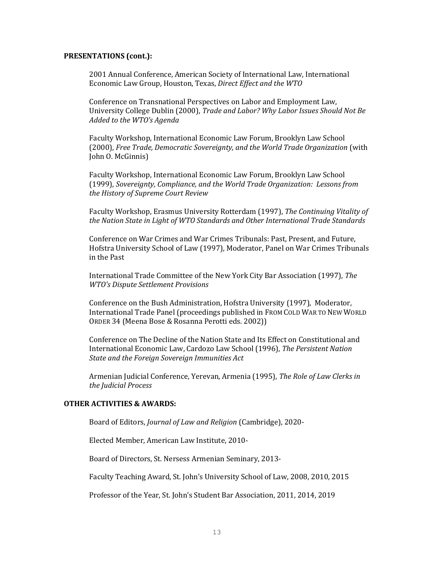2001 Annual Conference, American Society of International Law, International Economic Law Group, Houston, Texas, *Direct Effect and the WTO*

Conference on Transnational Perspectives on Labor and Employment Law, University College Dublin (2000), *Trade and Labor? Why Labor Issues Should Not Be Added to the WTO's Agenda*

Faculty Workshop, International Economic Law Forum, Brooklyn Law School (2000), *Free Trade, Democratic Sovereignty, and the World Trade Organization* (with John O. McGinnis)

Faculty Workshop, International Economic Law Forum, Brooklyn Law School (1999), *Sovereignty, Compliance, and the World Trade Organization: Lessons from the History of Supreme Court Review*

Faculty Workshop, Erasmus University Rotterdam (1997), *The Continuing Vitality of the Nation State in Light of WTO Standards and Other International Trade Standards*

Conference on War Crimes and War Crimes Tribunals: Past, Present, and Future, Hofstra University School of Law (1997), Moderator, Panel on War Crimes Tribunals in the Past

International Trade Committee of the New York City Bar Association (1997), *The WTO's Dispute Settlement Provisions*

Conference on the Bush Administration, Hofstra University (1997), Moderator, International Trade Panel (proceedings published in FROM COLD WAR TO NEW WORLD ORDER 34 (Meena Bose & Rosanna Perotti eds. 2002))

Conference on The Decline of the Nation State and Its Effect on Constitutional and International Economic Law, Cardozo Law School (1996), *The Persistent Nation State and the Foreign Sovereign Immunities Act*

Armenian Judicial Conference, Yerevan, Armenia (1995), *The Role of Law Clerks in the Judicial Process*

### **OTHER ACTIVITIES & AWARDS:**

Board of Editors, *Journal of Law and Religion* (Cambridge), 2020-

Elected Member, American Law Institute, 2010-

Board of Directors, St. Nersess Armenian Seminary, 2013-

Faculty Teaching Award, St. John's University School of Law, 2008, 2010, 2015

Professor of the Year, St. John's Student Bar Association, 2011, 2014, 2019